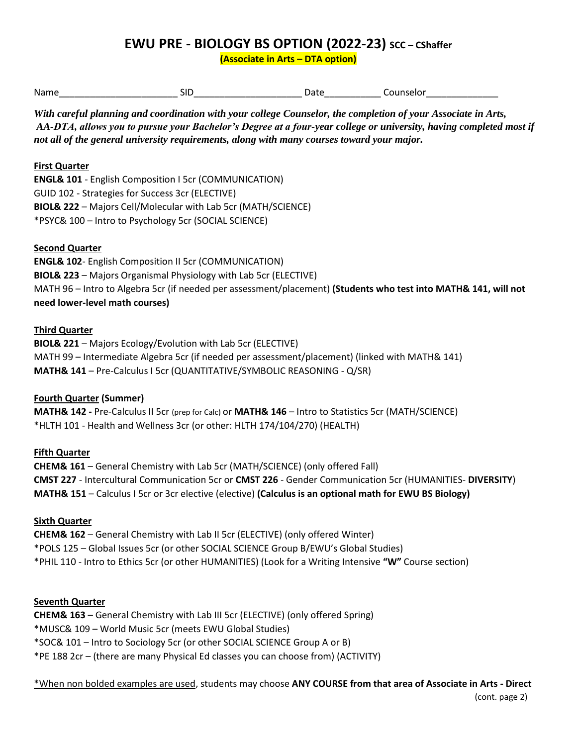# **EWU PRE - BIOLOGY BS OPTION (2022-23) SCC – CShaffer**

**(Associate in Arts – DTA option)**

| Name   | . 311 | . .<br>. | ---<br>seio |
|--------|-------|----------|-------------|
| ______ |       |          |             |

*With careful planning and coordination with your college Counselor, the completion of your Associate in Arts, AA-DTA, allows you to pursue your Bachelor's Degree at a four-year college or university, having completed most if not all of the general university requirements, along with many courses toward your major.* 

## **First Quarter**

**ENGL& 101** - English Composition I 5cr (COMMUNICATION) GUID 102 - Strategies for Success 3cr (ELECTIVE) **BIOL& 222** – Majors Cell/Molecular with Lab 5cr (MATH/SCIENCE) \*PSYC& 100 – Intro to Psychology 5cr (SOCIAL SCIENCE)

### **Second Quarter**

**ENGL& 102**- English Composition II 5cr (COMMUNICATION) **BIOL& 223** – Majors Organismal Physiology with Lab 5cr (ELECTIVE) MATH 96 – Intro to Algebra 5cr (if needed per assessment/placement) **(Students who test into MATH& 141, will not need lower-level math courses)**

### **Third Quarter**

**BIOL& 221** – Majors Ecology/Evolution with Lab 5cr (ELECTIVE) MATH 99 – Intermediate Algebra 5cr (if needed per assessment/placement) (linked with MATH& 141) **MATH& 141** – Pre-Calculus I 5cr (QUANTITATIVE/SYMBOLIC REASONING - Q/SR)

# **Fourth Quarter (Summer)**

**MATH& 142 -** Pre-Calculus II 5cr (prep for Calc) or **MATH& 146** – Intro to Statistics 5cr (MATH/SCIENCE) \*HLTH 101 - Health and Wellness 3cr (or other: HLTH 174/104/270) (HEALTH)

# **Fifth Quarter**

**CHEM& 161** – General Chemistry with Lab 5cr (MATH/SCIENCE) (only offered Fall) **CMST 227** - Intercultural Communication 5cr or **CMST 226** - Gender Communication 5cr (HUMANITIES- **DIVERSITY**) **MATH& 151** – Calculus I 5cr or 3cr elective (elective) **(Calculus is an optional math for EWU BS Biology)**

#### **Sixth Quarter**

**CHEM& 162** – General Chemistry with Lab II 5cr (ELECTIVE) (only offered Winter) \*POLS 125 – Global Issues 5cr (or other SOCIAL SCIENCE Group B/EWU's Global Studies) \*PHIL 110 - Intro to Ethics 5cr (or other HUMANITIES) (Look for a Writing Intensive **"W"** Course section)

#### **Seventh Quarter**

**CHEM& 163** – General Chemistry with Lab III 5cr (ELECTIVE) (only offered Spring) \*MUSC& 109 – World Music 5cr (meets EWU Global Studies) \*SOC& 101 – Intro to Sociology 5cr (or other SOCIAL SCIENCE Group A or B) \*PE 188 2cr – (there are many Physical Ed classes you can choose from) (ACTIVITY)

\*When non bolded examples are used, students may choose **ANY COURSE from that area of Associate in Arts - Direct**